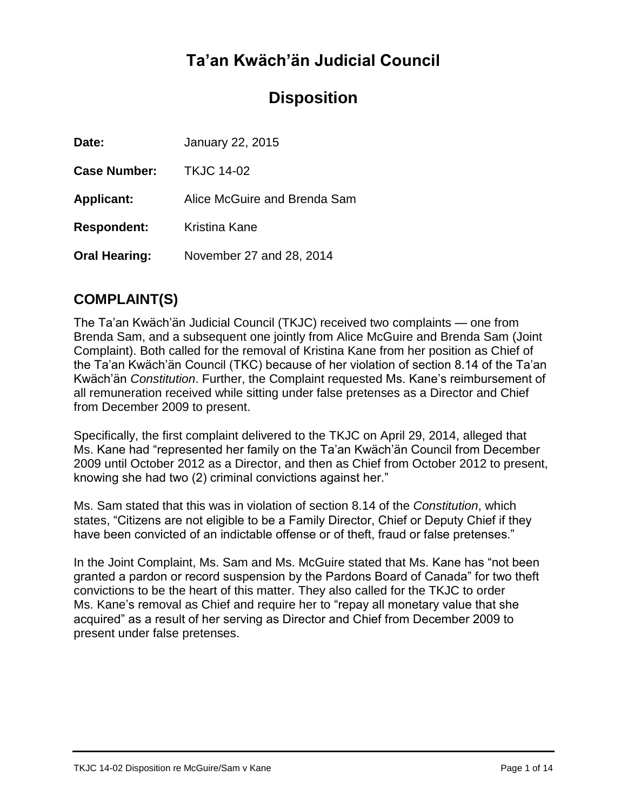# **Ta'an Kwäch'än Judicial Council**

# **Disposition**

| Date:                | January 22, 2015             |
|----------------------|------------------------------|
| <b>Case Number:</b>  | <b>TKJC 14-02</b>            |
| <b>Applicant:</b>    | Alice McGuire and Brenda Sam |
| <b>Respondent:</b>   | Kristina Kane                |
| <b>Oral Hearing:</b> | November 27 and 28, 2014     |

## **COMPLAINT(S)**

The Ta'an Kwäch'än Judicial Council (TKJC) received two complaints — one from Brenda Sam, and a subsequent one jointly from Alice McGuire and Brenda Sam (Joint Complaint). Both called for the removal of Kristina Kane from her position as Chief of the Ta'an Kwäch'än Council (TKC) because of her violation of section 8.14 of the Ta'an Kwäch'än *Constitution*. Further, the Complaint requested Ms. Kane's reimbursement of all remuneration received while sitting under false pretenses as a Director and Chief from December 2009 to present.

Specifically, the first complaint delivered to the TKJC on April 29, 2014, alleged that Ms. Kane had "represented her family on the Ta'an Kwäch'än Council from December 2009 until October 2012 as a Director, and then as Chief from October 2012 to present, knowing she had two (2) criminal convictions against her."

Ms. Sam stated that this was in violation of section 8.14 of the *Constitution*, which states, "Citizens are not eligible to be a Family Director, Chief or Deputy Chief if they have been convicted of an indictable offense or of theft, fraud or false pretenses."

In the Joint Complaint, Ms. Sam and Ms. McGuire stated that Ms. Kane has "not been granted a pardon or record suspension by the Pardons Board of Canada" for two theft convictions to be the heart of this matter. They also called for the TKJC to order Ms. Kane's removal as Chief and require her to "repay all monetary value that she acquired" as a result of her serving as Director and Chief from December 2009 to present under false pretenses.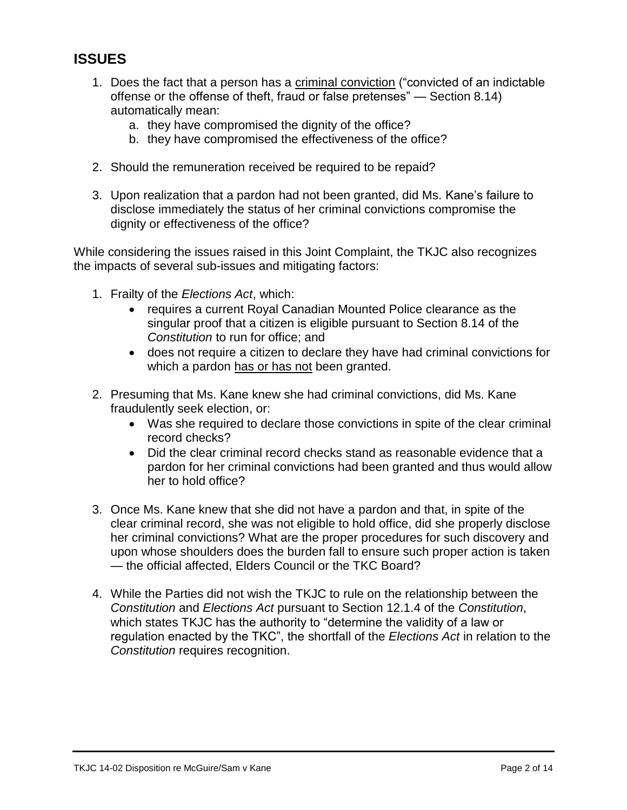# **ISSUES**

- 1. Does the fact that a person has a criminal conviction ("convicted of an indictable offense or the offense of theft, fraud or false pretenses" — Section 8.14) automatically mean:
	- a. they have compromised the dignity of the office?
	- b. they have compromised the effectiveness of the office?
- 2. Should the remuneration received be required to be repaid?
- 3. Upon realization that a pardon had not been granted, did Ms. Kane's failure to disclose immediately the status of her criminal convictions compromise the dignity or effectiveness of the office?

While considering the issues raised in this Joint Complaint, the TKJC also recognizes the impacts of several sub-issues and mitigating factors:

- 1. Frailty of the *Elections Act*, which:
	- requires a current Royal Canadian Mounted Police clearance as the singular proof that a citizen is eligible pursuant to Section 8.14 of the *Constitution* to run for office; and
	- does not require a citizen to declare they have had criminal convictions for which a pardon has or has not been granted.
- 2. Presuming that Ms. Kane knew she had criminal convictions, did Ms. Kane fraudulently seek election, or:
	- Was she required to declare those convictions in spite of the clear criminal record checks?
	- Did the clear criminal record checks stand as reasonable evidence that a pardon for her criminal convictions had been granted and thus would allow her to hold office?
- 3. Once Ms. Kane knew that she did not have a pardon and that, in spite of the clear criminal record, she was not eligible to hold office, did she properly disclose her criminal convictions? What are the proper procedures for such discovery and upon whose shoulders does the burden fall to ensure such proper action is taken — the official affected, Elders Council or the TKC Board?
- 4. While the Parties did not wish the TKJC to rule on the relationship between the *Constitution* and *Elections Act* pursuant to Section 12.1.4 of the *Constitution*, which states TKJC has the authority to "determine the validity of a law or regulation enacted by the TKC", the shortfall of the *Elections Act* in relation to the *Constitution* requires recognition.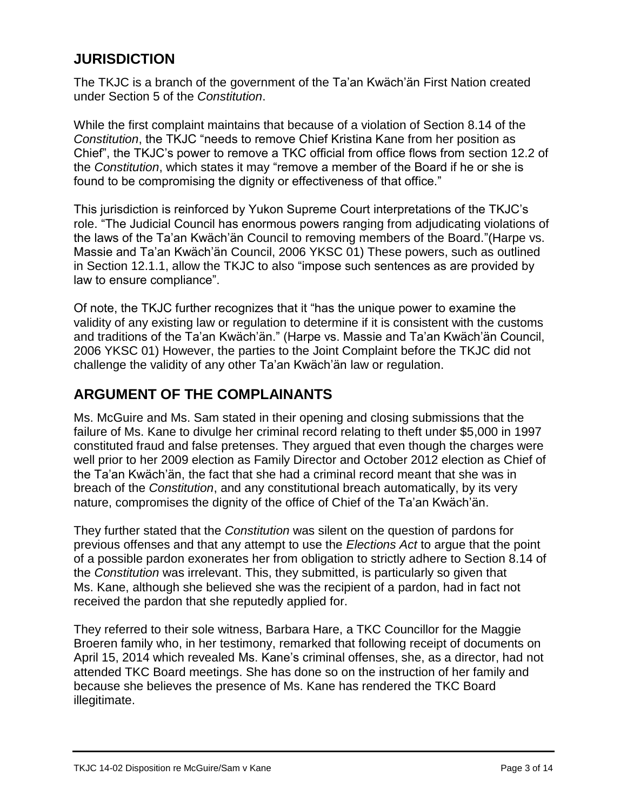### **JURISDICTION**

The TKJC is a branch of the government of the Ta'an Kwäch'än First Nation created under Section 5 of the *Constitution*.

While the first complaint maintains that because of a violation of Section 8.14 of the *Constitution*, the TKJC "needs to remove Chief Kristina Kane from her position as Chief", the TKJC's power to remove a TKC official from office flows from section 12.2 of the *Constitution*, which states it may "remove a member of the Board if he or she is found to be compromising the dignity or effectiveness of that office."

This jurisdiction is reinforced by Yukon Supreme Court interpretations of the TKJC's role. "The Judicial Council has enormous powers ranging from adjudicating violations of the laws of the Ta'an Kwäch'än Council to removing members of the Board."(Harpe vs. Massie and Ta'an Kwäch'än Council, 2006 YKSC 01) These powers, such as outlined in Section 12.1.1, allow the TKJC to also "impose such sentences as are provided by law to ensure compliance".

Of note, the TKJC further recognizes that it "has the unique power to examine the validity of any existing law or regulation to determine if it is consistent with the customs and traditions of the Ta'an Kwäch'än." (Harpe vs. Massie and Ta'an Kwäch'än Council, 2006 YKSC 01) However, the parties to the Joint Complaint before the TKJC did not challenge the validity of any other Ta'an Kwäch'än law or regulation.

## **ARGUMENT OF THE COMPLAINANTS**

Ms. McGuire and Ms. Sam stated in their opening and closing submissions that the failure of Ms. Kane to divulge her criminal record relating to theft under \$5,000 in 1997 constituted fraud and false pretenses. They argued that even though the charges were well prior to her 2009 election as Family Director and October 2012 election as Chief of the Ta'an Kwäch'än, the fact that she had a criminal record meant that she was in breach of the *Constitution*, and any constitutional breach automatically, by its very nature, compromises the dignity of the office of Chief of the Ta'an Kwäch'än.

They further stated that the *Constitution* was silent on the question of pardons for previous offenses and that any attempt to use the *Elections Act* to argue that the point of a possible pardon exonerates her from obligation to strictly adhere to Section 8.14 of the *Constitution* was irrelevant. This, they submitted, is particularly so given that Ms. Kane, although she believed she was the recipient of a pardon, had in fact not received the pardon that she reputedly applied for.

They referred to their sole witness, Barbara Hare, a TKC Councillor for the Maggie Broeren family who, in her testimony, remarked that following receipt of documents on April 15, 2014 which revealed Ms. Kane's criminal offenses, she, as a director, had not attended TKC Board meetings. She has done so on the instruction of her family and because she believes the presence of Ms. Kane has rendered the TKC Board illegitimate.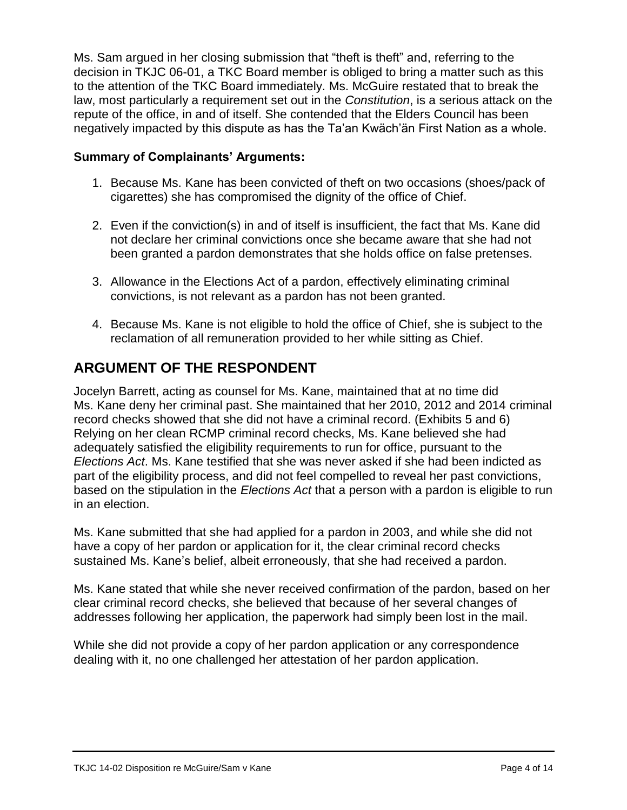Ms. Sam argued in her closing submission that "theft is theft" and, referring to the decision in TKJC 06-01, a TKC Board member is obliged to bring a matter such as this to the attention of the TKC Board immediately. Ms. McGuire restated that to break the law, most particularly a requirement set out in the *Constitution*, is a serious attack on the repute of the office, in and of itself. She contended that the Elders Council has been negatively impacted by this dispute as has the Ta'an Kwäch'än First Nation as a whole.

### **Summary of Complainants' Arguments:**

- 1. Because Ms. Kane has been convicted of theft on two occasions (shoes/pack of cigarettes) she has compromised the dignity of the office of Chief.
- 2. Even if the conviction(s) in and of itself is insufficient, the fact that Ms. Kane did not declare her criminal convictions once she became aware that she had not been granted a pardon demonstrates that she holds office on false pretenses.
- 3. Allowance in the Elections Act of a pardon, effectively eliminating criminal convictions, is not relevant as a pardon has not been granted.
- 4. Because Ms. Kane is not eligible to hold the office of Chief, she is subject to the reclamation of all remuneration provided to her while sitting as Chief.

# **ARGUMENT OF THE RESPONDENT**

Jocelyn Barrett, acting as counsel for Ms. Kane, maintained that at no time did Ms. Kane deny her criminal past. She maintained that her 2010, 2012 and 2014 criminal record checks showed that she did not have a criminal record. (Exhibits 5 and 6) Relying on her clean RCMP criminal record checks, Ms. Kane believed she had adequately satisfied the eligibility requirements to run for office, pursuant to the *Elections Act*. Ms. Kane testified that she was never asked if she had been indicted as part of the eligibility process, and did not feel compelled to reveal her past convictions, based on the stipulation in the *Elections Act* that a person with a pardon is eligible to run in an election.

Ms. Kane submitted that she had applied for a pardon in 2003, and while she did not have a copy of her pardon or application for it, the clear criminal record checks sustained Ms. Kane's belief, albeit erroneously, that she had received a pardon.

Ms. Kane stated that while she never received confirmation of the pardon, based on her clear criminal record checks, she believed that because of her several changes of addresses following her application, the paperwork had simply been lost in the mail.

While she did not provide a copy of her pardon application or any correspondence dealing with it, no one challenged her attestation of her pardon application.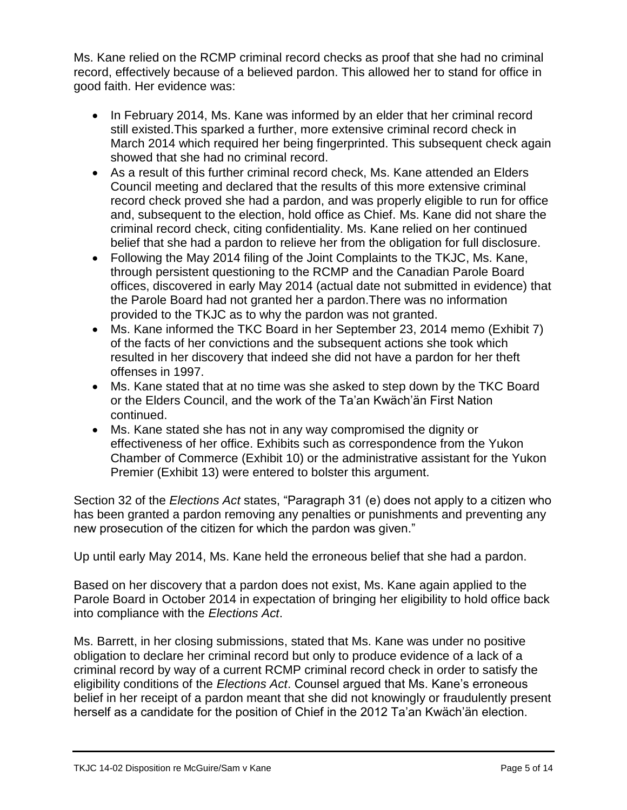Ms. Kane relied on the RCMP criminal record checks as proof that she had no criminal record, effectively because of a believed pardon. This allowed her to stand for office in good faith. Her evidence was:

- In February 2014, Ms. Kane was informed by an elder that her criminal record still existed.This sparked a further, more extensive criminal record check in March 2014 which required her being fingerprinted. This subsequent check again showed that she had no criminal record.
- As a result of this further criminal record check, Ms. Kane attended an Elders Council meeting and declared that the results of this more extensive criminal record check proved she had a pardon, and was properly eligible to run for office and, subsequent to the election, hold office as Chief. Ms. Kane did not share the criminal record check, citing confidentiality. Ms. Kane relied on her continued belief that she had a pardon to relieve her from the obligation for full disclosure.
- Following the May 2014 filing of the Joint Complaints to the TKJC, Ms. Kane, through persistent questioning to the RCMP and the Canadian Parole Board offices, discovered in early May 2014 (actual date not submitted in evidence) that the Parole Board had not granted her a pardon.There was no information provided to the TKJC as to why the pardon was not granted.
- Ms. Kane informed the TKC Board in her September 23, 2014 memo (Exhibit 7) of the facts of her convictions and the subsequent actions she took which resulted in her discovery that indeed she did not have a pardon for her theft offenses in 1997.
- Ms. Kane stated that at no time was she asked to step down by the TKC Board or the Elders Council, and the work of the Ta'an Kwäch'än First Nation continued.
- Ms. Kane stated she has not in any way compromised the dignity or effectiveness of her office. Exhibits such as correspondence from the Yukon Chamber of Commerce (Exhibit 10) or the administrative assistant for the Yukon Premier (Exhibit 13) were entered to bolster this argument.

Section 32 of the *Elections Act* states, "Paragraph 31 (e) does not apply to a citizen who has been granted a pardon removing any penalties or punishments and preventing any new prosecution of the citizen for which the pardon was given."

Up until early May 2014, Ms. Kane held the erroneous belief that she had a pardon.

Based on her discovery that a pardon does not exist, Ms. Kane again applied to the Parole Board in October 2014 in expectation of bringing her eligibility to hold office back into compliance with the *Elections Act*.

Ms. Barrett, in her closing submissions, stated that Ms. Kane was under no positive obligation to declare her criminal record but only to produce evidence of a lack of a criminal record by way of a current RCMP criminal record check in order to satisfy the eligibility conditions of the *Elections Act*. Counsel argued that Ms. Kane's erroneous belief in her receipt of a pardon meant that she did not knowingly or fraudulently present herself as a candidate for the position of Chief in the 2012 Ta'an Kwäch'än election.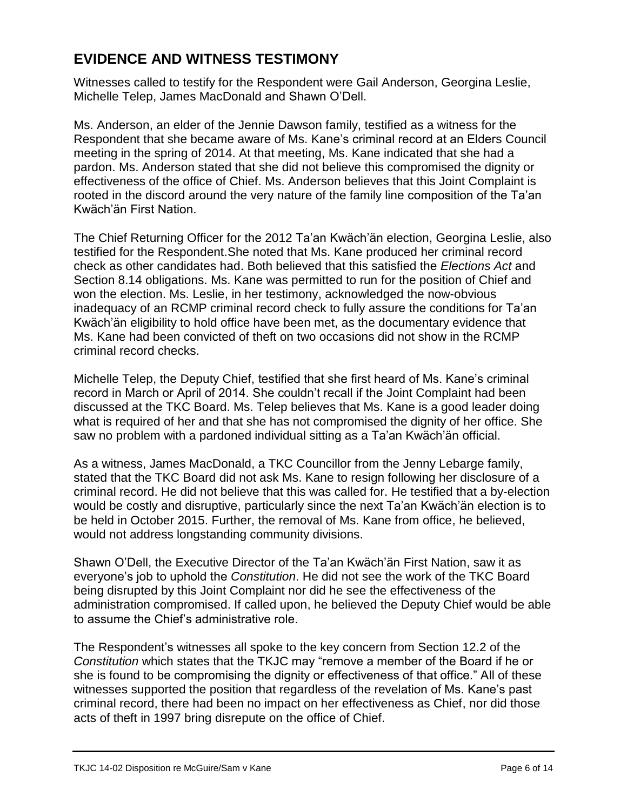## **EVIDENCE AND WITNESS TESTIMONY**

Witnesses called to testify for the Respondent were Gail Anderson, Georgina Leslie, Michelle Telep, James MacDonald and Shawn O'Dell.

Ms. Anderson, an elder of the Jennie Dawson family, testified as a witness for the Respondent that she became aware of Ms. Kane's criminal record at an Elders Council meeting in the spring of 2014. At that meeting, Ms. Kane indicated that she had a pardon. Ms. Anderson stated that she did not believe this compromised the dignity or effectiveness of the office of Chief. Ms. Anderson believes that this Joint Complaint is rooted in the discord around the very nature of the family line composition of the Ta'an Kwäch'än First Nation.

The Chief Returning Officer for the 2012 Ta'an Kwäch'än election, Georgina Leslie, also testified for the Respondent.She noted that Ms. Kane produced her criminal record check as other candidates had. Both believed that this satisfied the *Elections Act* and Section 8.14 obligations. Ms. Kane was permitted to run for the position of Chief and won the election. Ms. Leslie, in her testimony, acknowledged the now-obvious inadequacy of an RCMP criminal record check to fully assure the conditions for Ta'an Kwäch'än eligibility to hold office have been met, as the documentary evidence that Ms. Kane had been convicted of theft on two occasions did not show in the RCMP criminal record checks.

Michelle Telep, the Deputy Chief, testified that she first heard of Ms. Kane's criminal record in March or April of 2014. She couldn't recall if the Joint Complaint had been discussed at the TKC Board. Ms. Telep believes that Ms. Kane is a good leader doing what is required of her and that she has not compromised the dignity of her office. She saw no problem with a pardoned individual sitting as a Ta'an Kwäch'än official.

As a witness, James MacDonald, a TKC Councillor from the Jenny Lebarge family, stated that the TKC Board did not ask Ms. Kane to resign following her disclosure of a criminal record. He did not believe that this was called for. He testified that a by-election would be costly and disruptive, particularly since the next Ta'an Kwäch'än election is to be held in October 2015. Further, the removal of Ms. Kane from office, he believed, would not address longstanding community divisions.

Shawn O'Dell, the Executive Director of the Ta'an Kwäch'än First Nation, saw it as everyone's job to uphold the *Constitution*. He did not see the work of the TKC Board being disrupted by this Joint Complaint nor did he see the effectiveness of the administration compromised. If called upon, he believed the Deputy Chief would be able to assume the Chief's administrative role.

The Respondent's witnesses all spoke to the key concern from Section 12.2 of the *Constitution* which states that the TKJC may "remove a member of the Board if he or she is found to be compromising the dignity or effectiveness of that office." All of these witnesses supported the position that regardless of the revelation of Ms. Kane's past criminal record, there had been no impact on her effectiveness as Chief, nor did those acts of theft in 1997 bring disrepute on the office of Chief.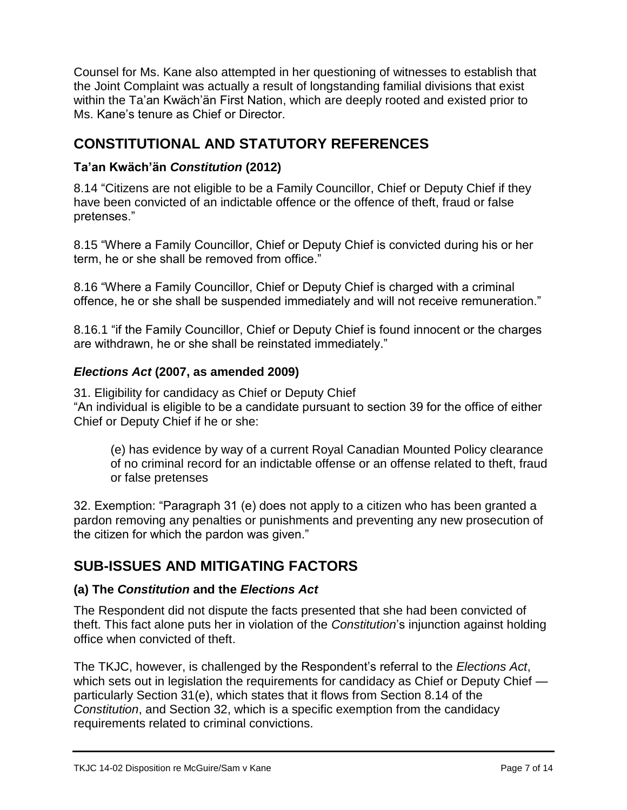Counsel for Ms. Kane also attempted in her questioning of witnesses to establish that the Joint Complaint was actually a result of longstanding familial divisions that exist within the Ta'an Kwäch'än First Nation, which are deeply rooted and existed prior to Ms. Kane's tenure as Chief or Director.

# **CONSTITUTIONAL AND STATUTORY REFERENCES**

### **Ta'an Kwäch'än** *Constitution* **(2012)**

8.14 "Citizens are not eligible to be a Family Councillor, Chief or Deputy Chief if they have been convicted of an indictable offence or the offence of theft, fraud or false pretenses."

8.15 "Where a Family Councillor, Chief or Deputy Chief is convicted during his or her term, he or she shall be removed from office."

8.16 "Where a Family Councillor, Chief or Deputy Chief is charged with a criminal offence, he or she shall be suspended immediately and will not receive remuneration."

8.16.1 "if the Family Councillor, Chief or Deputy Chief is found innocent or the charges are withdrawn, he or she shall be reinstated immediately."

### *Elections Act* **(2007, as amended 2009)**

31. Eligibility for candidacy as Chief or Deputy Chief "An individual is eligible to be a candidate pursuant to section 39 for the office of either Chief or Deputy Chief if he or she:

(e) has evidence by way of a current Royal Canadian Mounted Policy clearance of no criminal record for an indictable offense or an offense related to theft, fraud or false pretenses

32. Exemption: "Paragraph 31 (e) does not apply to a citizen who has been granted a pardon removing any penalties or punishments and preventing any new prosecution of the citizen for which the pardon was given."

# **SUB-ISSUES AND MITIGATING FACTORS**

### **(a) The** *Constitution* **and the** *Elections Act*

The Respondent did not dispute the facts presented that she had been convicted of theft. This fact alone puts her in violation of the *Constitution*'s injunction against holding office when convicted of theft.

The TKJC, however, is challenged by the Respondent's referral to the *Elections Act*, which sets out in legislation the requirements for candidacy as Chief or Deputy Chief particularly Section 31(e), which states that it flows from Section 8.14 of the *Constitution*, and Section 32, which is a specific exemption from the candidacy requirements related to criminal convictions.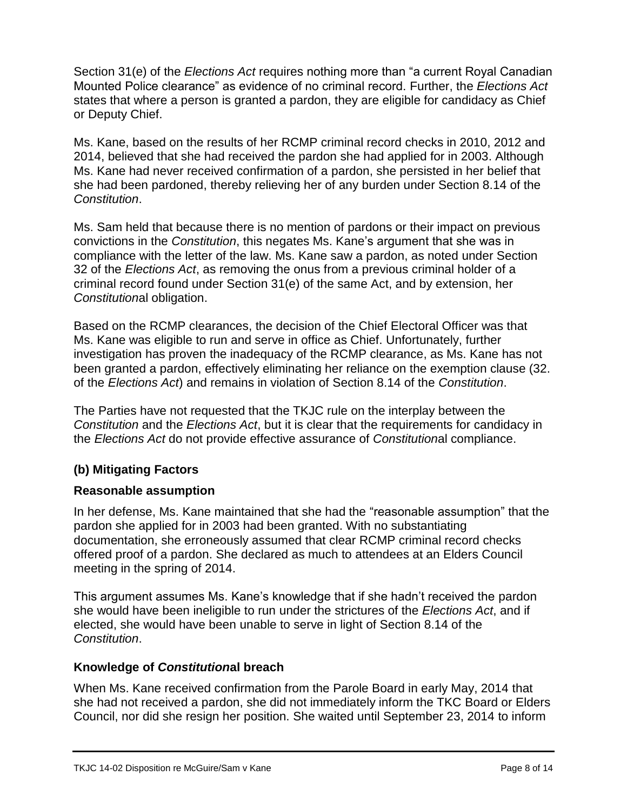Section 31(e) of the *Elections Act* requires nothing more than "a current Royal Canadian Mounted Police clearance" as evidence of no criminal record. Further, the *Elections Act* states that where a person is granted a pardon, they are eligible for candidacy as Chief or Deputy Chief.

Ms. Kane, based on the results of her RCMP criminal record checks in 2010, 2012 and 2014, believed that she had received the pardon she had applied for in 2003. Although Ms. Kane had never received confirmation of a pardon, she persisted in her belief that she had been pardoned, thereby relieving her of any burden under Section 8.14 of the *Constitution*.

Ms. Sam held that because there is no mention of pardons or their impact on previous convictions in the *Constitution*, this negates Ms. Kane's argument that she was in compliance with the letter of the law. Ms. Kane saw a pardon, as noted under Section 32 of the *Elections Act*, as removing the onus from a previous criminal holder of a criminal record found under Section 31(e) of the same Act, and by extension, her *Constitution*al obligation.

Based on the RCMP clearances, the decision of the Chief Electoral Officer was that Ms. Kane was eligible to run and serve in office as Chief. Unfortunately, further investigation has proven the inadequacy of the RCMP clearance, as Ms. Kane has not been granted a pardon, effectively eliminating her reliance on the exemption clause (32. of the *Elections Act*) and remains in violation of Section 8.14 of the *Constitution*.

The Parties have not requested that the TKJC rule on the interplay between the *Constitution* and the *Elections Act*, but it is clear that the requirements for candidacy in the *Elections Act* do not provide effective assurance of *Constitution*al compliance.

### **(b) Mitigating Factors**

### **Reasonable assumption**

In her defense, Ms. Kane maintained that she had the "reasonable assumption" that the pardon she applied for in 2003 had been granted. With no substantiating documentation, she erroneously assumed that clear RCMP criminal record checks offered proof of a pardon. She declared as much to attendees at an Elders Council meeting in the spring of 2014.

This argument assumes Ms. Kane's knowledge that if she hadn't received the pardon she would have been ineligible to run under the strictures of the *Elections Act*, and if elected, she would have been unable to serve in light of Section 8.14 of the *Constitution*.

#### **Knowledge of** *Constitution***al breach**

When Ms. Kane received confirmation from the Parole Board in early May, 2014 that she had not received a pardon, she did not immediately inform the TKC Board or Elders Council, nor did she resign her position. She waited until September 23, 2014 to inform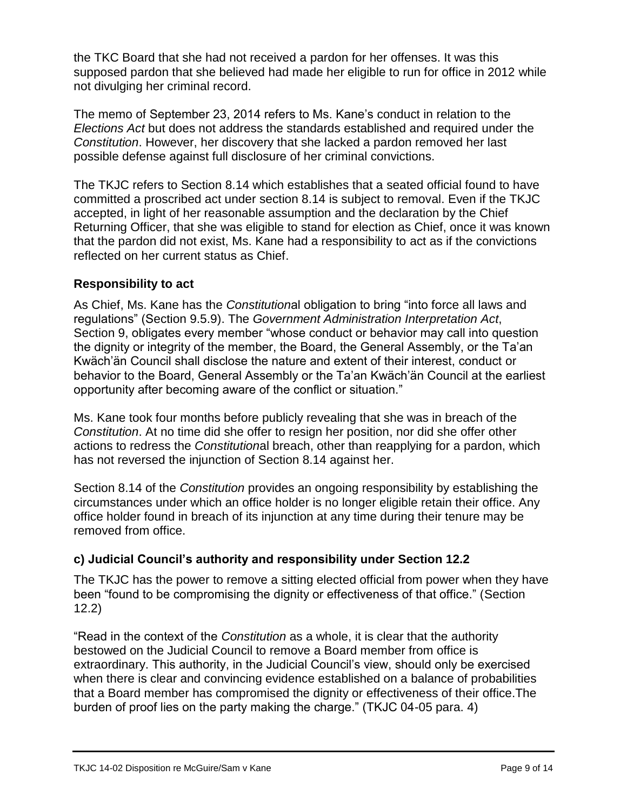the TKC Board that she had not received a pardon for her offenses. It was this supposed pardon that she believed had made her eligible to run for office in 2012 while not divulging her criminal record.

The memo of September 23, 2014 refers to Ms. Kane's conduct in relation to the *Elections Act* but does not address the standards established and required under the *Constitution*. However, her discovery that she lacked a pardon removed her last possible defense against full disclosure of her criminal convictions.

The TKJC refers to Section 8.14 which establishes that a seated official found to have committed a proscribed act under section 8.14 is subject to removal. Even if the TKJC accepted, in light of her reasonable assumption and the declaration by the Chief Returning Officer, that she was eligible to stand for election as Chief, once it was known that the pardon did not exist, Ms. Kane had a responsibility to act as if the convictions reflected on her current status as Chief.

#### **Responsibility to act**

As Chief, Ms. Kane has the *Constitution*al obligation to bring "into force all laws and regulations" (Section 9.5.9). The *Government Administration Interpretation Act*, Section 9, obligates every member "whose conduct or behavior may call into question the dignity or integrity of the member, the Board, the General Assembly, or the Ta'an Kwäch'än Council shall disclose the nature and extent of their interest, conduct or behavior to the Board, General Assembly or the Ta'an Kwäch'än Council at the earliest opportunity after becoming aware of the conflict or situation."

Ms. Kane took four months before publicly revealing that she was in breach of the *Constitution*. At no time did she offer to resign her position, nor did she offer other actions to redress the *Constitution*al breach, other than reapplying for a pardon, which has not reversed the injunction of Section 8.14 against her.

Section 8.14 of the *Constitution* provides an ongoing responsibility by establishing the circumstances under which an office holder is no longer eligible retain their office. Any office holder found in breach of its injunction at any time during their tenure may be removed from office.

### **c) Judicial Council's authority and responsibility under Section 12.2**

The TKJC has the power to remove a sitting elected official from power when they have been "found to be compromising the dignity or effectiveness of that office." (Section 12.2)

"Read in the context of the *Constitution* as a whole, it is clear that the authority bestowed on the Judicial Council to remove a Board member from office is extraordinary. This authority, in the Judicial Council's view, should only be exercised when there is clear and convincing evidence established on a balance of probabilities that a Board member has compromised the dignity or effectiveness of their office.The burden of proof lies on the party making the charge." (TKJC 04-05 para. 4)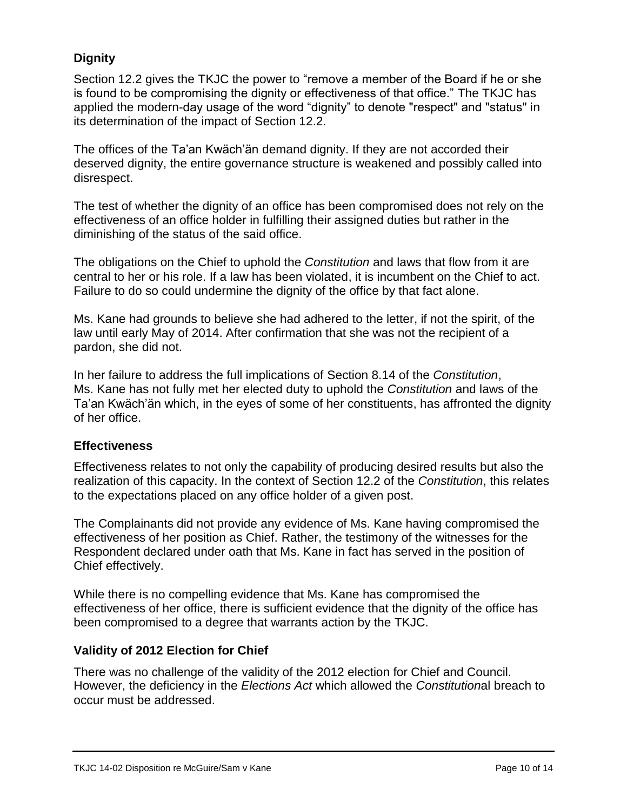### **Dignity**

Section 12.2 gives the TKJC the power to "remove a member of the Board if he or she is found to be compromising the dignity or effectiveness of that office." The TKJC has applied the modern-day usage of the word "dignity" to denote "respect" and "status" in its determination of the impact of Section 12.2.

The offices of the Ta'an Kwäch'än demand dignity. If they are not accorded their deserved dignity, the entire governance structure is weakened and possibly called into disrespect.

The test of whether the dignity of an office has been compromised does not rely on the effectiveness of an office holder in fulfilling their assigned duties but rather in the diminishing of the status of the said office.

The obligations on the Chief to uphold the *Constitution* and laws that flow from it are central to her or his role. If a law has been violated, it is incumbent on the Chief to act. Failure to do so could undermine the dignity of the office by that fact alone.

Ms. Kane had grounds to believe she had adhered to the letter, if not the spirit, of the law until early May of 2014. After confirmation that she was not the recipient of a pardon, she did not.

In her failure to address the full implications of Section 8.14 of the *Constitution*, Ms. Kane has not fully met her elected duty to uphold the *Constitution* and laws of the Ta'an Kwäch'än which, in the eyes of some of her constituents, has affronted the dignity of her office.

#### **Effectiveness**

Effectiveness relates to not only the capability of producing desired results but also the realization of this capacity. In the context of Section 12.2 of the *Constitution*, this relates to the expectations placed on any office holder of a given post.

The Complainants did not provide any evidence of Ms. Kane having compromised the effectiveness of her position as Chief. Rather, the testimony of the witnesses for the Respondent declared under oath that Ms. Kane in fact has served in the position of Chief effectively.

While there is no compelling evidence that Ms. Kane has compromised the effectiveness of her office, there is sufficient evidence that the dignity of the office has been compromised to a degree that warrants action by the TKJC.

#### **Validity of 2012 Election for Chief**

There was no challenge of the validity of the 2012 election for Chief and Council. However, the deficiency in the *Elections Act* which allowed the *Constitution*al breach to occur must be addressed.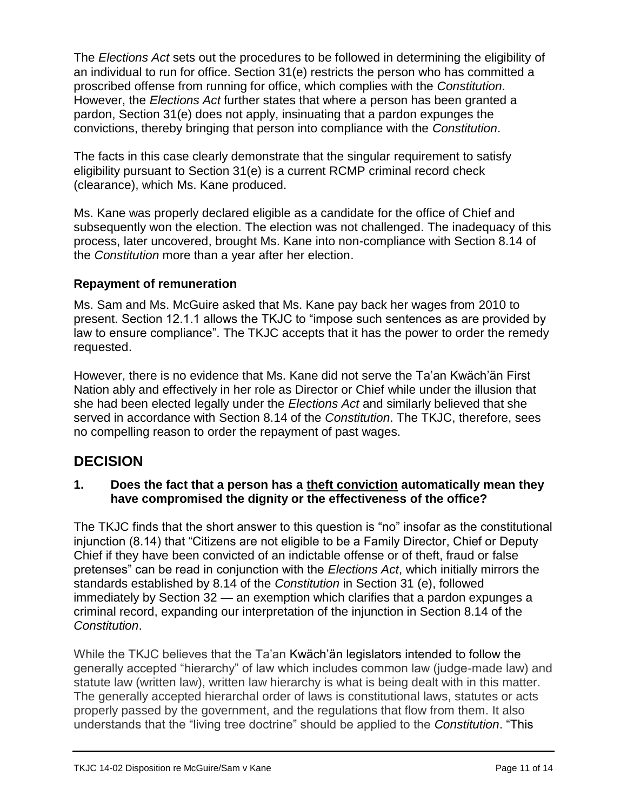The *Elections Act* sets out the procedures to be followed in determining the eligibility of an individual to run for office. Section 31(e) restricts the person who has committed a proscribed offense from running for office, which complies with the *Constitution*. However, the *Elections Act* further states that where a person has been granted a pardon, Section 31(e) does not apply, insinuating that a pardon expunges the convictions, thereby bringing that person into compliance with the *Constitution*.

The facts in this case clearly demonstrate that the singular requirement to satisfy eligibility pursuant to Section 31(e) is a current RCMP criminal record check (clearance), which Ms. Kane produced.

Ms. Kane was properly declared eligible as a candidate for the office of Chief and subsequently won the election. The election was not challenged. The inadequacy of this process, later uncovered, brought Ms. Kane into non-compliance with Section 8.14 of the *Constitution* more than a year after her election.

### **Repayment of remuneration**

Ms. Sam and Ms. McGuire asked that Ms. Kane pay back her wages from 2010 to present. Section 12.1.1 allows the TKJC to "impose such sentences as are provided by law to ensure compliance". The TKJC accepts that it has the power to order the remedy requested.

However, there is no evidence that Ms. Kane did not serve the Ta'an Kwäch'än First Nation ably and effectively in her role as Director or Chief while under the illusion that she had been elected legally under the *Elections Act* and similarly believed that she served in accordance with Section 8.14 of the *Constitution*. The TKJC, therefore, sees no compelling reason to order the repayment of past wages.

### **DECISION**

#### **1. Does the fact that a person has a theft conviction automatically mean they have compromised the dignity or the effectiveness of the office?**

The TKJC finds that the short answer to this question is "no" insofar as the constitutional injunction (8.14) that "Citizens are not eligible to be a Family Director, Chief or Deputy Chief if they have been convicted of an indictable offense or of theft, fraud or false pretenses" can be read in conjunction with the *Elections Act*, which initially mirrors the standards established by 8.14 of the *Constitution* in Section 31 (e), followed immediately by Section 32 — an exemption which clarifies that a pardon expunges a criminal record, expanding our interpretation of the injunction in Section 8.14 of the *Constitution*.

While the TKJC believes that the Ta'an Kwäch'än legislators intended to follow the generally accepted "hierarchy" of law which includes common law (judge-made law) and statute law (written law), written law hierarchy is what is being dealt with in this matter. The generally accepted hierarchal order of laws is constitutional laws, statutes or acts properly passed by the government, and the regulations that flow from them. It also understands that the "living tree doctrine" should be applied to the *Constitution*. "This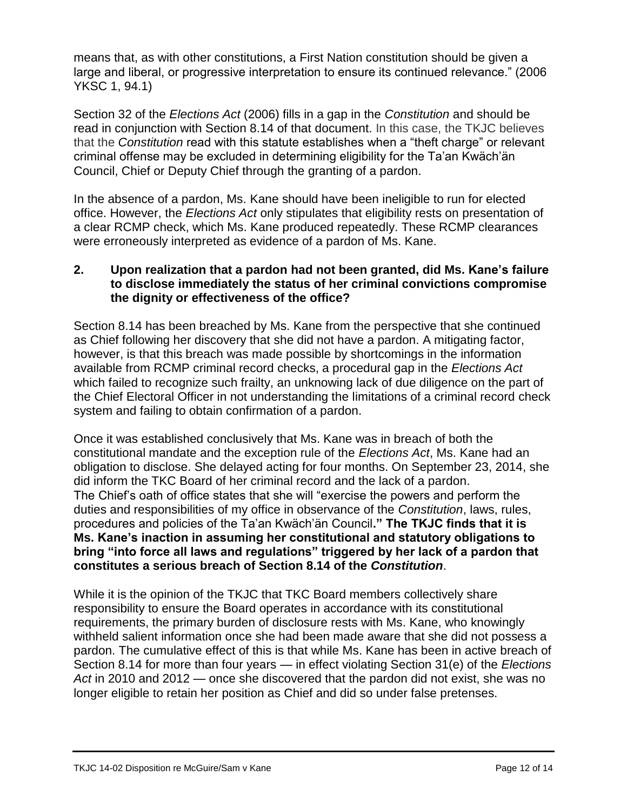means that, as with other constitutions, a First Nation constitution should be given a large and liberal, or progressive interpretation to ensure its continued relevance." (2006 YKSC 1, 94.1)

Section 32 of the *Elections Act* (2006) fills in a gap in the *Constitution* and should be read in conjunction with Section 8.14 of that document. In this case, the TKJC believes that the *Constitution* read with this statute establishes when a "theft charge" or relevant criminal offense may be excluded in determining eligibility for the Ta'an Kwäch'än Council, Chief or Deputy Chief through the granting of a pardon.

In the absence of a pardon, Ms. Kane should have been ineligible to run for elected office. However, the *Elections Act* only stipulates that eligibility rests on presentation of a clear RCMP check, which Ms. Kane produced repeatedly. These RCMP clearances were erroneously interpreted as evidence of a pardon of Ms. Kane.

#### **2. Upon realization that a pardon had not been granted, did Ms. Kane's failure to disclose immediately the status of her criminal convictions compromise the dignity or effectiveness of the office?**

Section 8.14 has been breached by Ms. Kane from the perspective that she continued as Chief following her discovery that she did not have a pardon. A mitigating factor, however, is that this breach was made possible by shortcomings in the information available from RCMP criminal record checks, a procedural gap in the *Elections Act* which failed to recognize such frailty, an unknowing lack of due diligence on the part of the Chief Electoral Officer in not understanding the limitations of a criminal record check system and failing to obtain confirmation of a pardon.

Once it was established conclusively that Ms. Kane was in breach of both the constitutional mandate and the exception rule of the *Elections Act*, Ms. Kane had an obligation to disclose. She delayed acting for four months. On September 23, 2014, she did inform the TKC Board of her criminal record and the lack of a pardon. The Chief's oath of office states that she will "exercise the powers and perform the duties and responsibilities of my office in observance of the *Constitution*, laws, rules, procedures and policies of the Ta'an Kwäch'än Council**." The TKJC finds that it is Ms. Kane's inaction in assuming her constitutional and statutory obligations to bring "into force all laws and regulations" triggered by her lack of a pardon that constitutes a serious breach of Section 8.14 of the** *Constitution*.

While it is the opinion of the TKJC that TKC Board members collectively share responsibility to ensure the Board operates in accordance with its constitutional requirements, the primary burden of disclosure rests with Ms. Kane, who knowingly withheld salient information once she had been made aware that she did not possess a pardon. The cumulative effect of this is that while Ms. Kane has been in active breach of Section 8.14 for more than four years — in effect violating Section 31(e) of the *Elections Act* in 2010 and 2012 — once she discovered that the pardon did not exist, she was no longer eligible to retain her position as Chief and did so under false pretenses.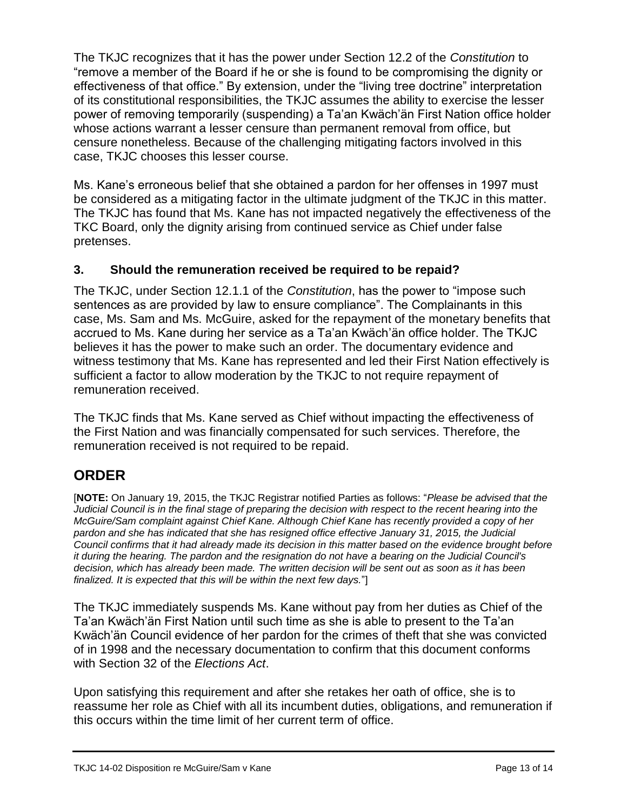The TKJC recognizes that it has the power under Section 12.2 of the *Constitution* to "remove a member of the Board if he or she is found to be compromising the dignity or effectiveness of that office." By extension, under the "living tree doctrine" interpretation of its constitutional responsibilities, the TKJC assumes the ability to exercise the lesser power of removing temporarily (suspending) a Ta'an Kwäch'än First Nation office holder whose actions warrant a lesser censure than permanent removal from office, but censure nonetheless. Because of the challenging mitigating factors involved in this case, TKJC chooses this lesser course.

Ms. Kane's erroneous belief that she obtained a pardon for her offenses in 1997 must be considered as a mitigating factor in the ultimate judgment of the TKJC in this matter. The TKJC has found that Ms. Kane has not impacted negatively the effectiveness of the TKC Board, only the dignity arising from continued service as Chief under false pretenses.

### **3. Should the remuneration received be required to be repaid?**

The TKJC, under Section 12.1.1 of the *Constitution*, has the power to "impose such sentences as are provided by law to ensure compliance". The Complainants in this case, Ms. Sam and Ms. McGuire, asked for the repayment of the monetary benefits that accrued to Ms. Kane during her service as a Ta'an Kwäch'än office holder. The TKJC believes it has the power to make such an order. The documentary evidence and witness testimony that Ms. Kane has represented and led their First Nation effectively is sufficient a factor to allow moderation by the TKJC to not require repayment of remuneration received.

The TKJC finds that Ms. Kane served as Chief without impacting the effectiveness of the First Nation and was financially compensated for such services. Therefore, the remuneration received is not required to be repaid.

# **ORDER**

[**NOTE:** On January 19, 2015, the TKJC Registrar notified Parties as follows: "*Please be advised that the Judicial Council is in the final stage of preparing the decision with respect to the recent hearing into the McGuire/Sam complaint against Chief Kane. Although Chief Kane has recently provided a copy of her pardon and she has indicated that she has resigned office effective January 31, 2015, the Judicial Council confirms that it had already made its decision in this matter based on the evidence brought before it during the hearing. The pardon and the resignation do not have a bearing on the Judicial Council's decision, which has already been made. The written decision will be sent out as soon as it has been finalized. It is expected that this will be within the next few days.*"]

The TKJC immediately suspends Ms. Kane without pay from her duties as Chief of the Ta'an Kwäch'än First Nation until such time as she is able to present to the Ta'an Kwäch'än Council evidence of her pardon for the crimes of theft that she was convicted of in 1998 and the necessary documentation to confirm that this document conforms with Section 32 of the *Elections Act*.

Upon satisfying this requirement and after she retakes her oath of office, she is to reassume her role as Chief with all its incumbent duties, obligations, and remuneration if this occurs within the time limit of her current term of office.